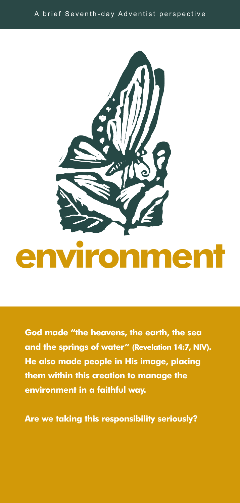



**God made "the heavens, the earth, the sea and the springs of water" (Revelation 14:7, NIV). He also made people in His image, placing them within this creation to manage the environment in a faithful way.**

**Are we taking this responsibility seriously?**